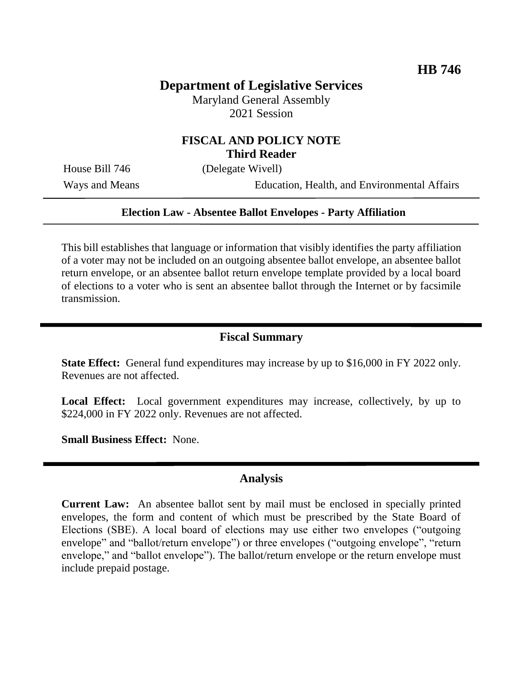# **Department of Legislative Services**

Maryland General Assembly 2021 Session

### **FISCAL AND POLICY NOTE Third Reader**

House Bill 746 (Delegate Wivell)

Ways and Means Education, Health, and Environmental Affairs

#### **Election Law - Absentee Ballot Envelopes - Party Affiliation**

This bill establishes that language or information that visibly identifies the party affiliation of a voter may not be included on an outgoing absentee ballot envelope, an absentee ballot return envelope, or an absentee ballot return envelope template provided by a local board of elections to a voter who is sent an absentee ballot through the Internet or by facsimile transmission.

#### **Fiscal Summary**

**State Effect:** General fund expenditures may increase by up to \$16,000 in FY 2022 only. Revenues are not affected.

Local Effect: Local government expenditures may increase, collectively, by up to \$224,000 in FY 2022 only. Revenues are not affected.

**Small Business Effect:** None.

### **Analysis**

**Current Law:** An absentee ballot sent by mail must be enclosed in specially printed envelopes, the form and content of which must be prescribed by the State Board of Elections (SBE). A local board of elections may use either two envelopes ("outgoing envelope" and "ballot/return envelope") or three envelopes ("outgoing envelope", "return envelope," and "ballot envelope"). The ballot/return envelope or the return envelope must include prepaid postage.